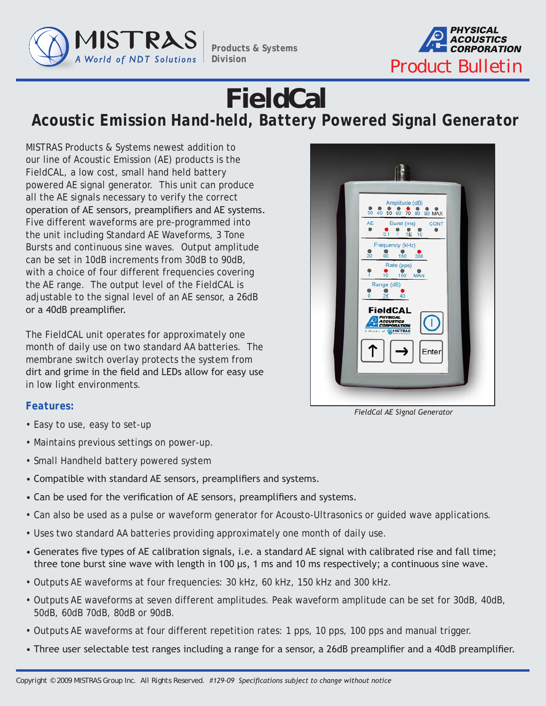

*Products & Systems Division*



## **FieldCal** *Acoustic Emission Hand-held, Battery Powered Signal Generator*

MISTRAS Products & Systems newest addition to our line of Acoustic Emission (AE) products is the FieldCAL, a low cost, small hand held battery powered AE signal generator. This unit can produce all the AE signals necessary to verify the correct operation of AE sensors, preamplifiers and AE systems. Five different waveforms are pre-programmed into the unit including Standard AE Waveforms, 3 Tone Bursts and continuous sine waves. Output amplitude can be set in 10dB increments from 30dB to 90dB, with a choice of four different frequencies covering the AE range. The output level of the FieldCAL is adjustable to the signal level of an AE sensor, a 26dB or a 40dB preamplifier.

The FieldCAL unit operates for approximately one month of daily use on two standard AA batteries. The membrane switch overlay protects the system from dirt and grime in the field and LEDs allow for easy use in low light environments.



## *Features:*

- Easy to use, easy to set-up
- Maintains previous settings on power-up.
- Small Handheld battery powered system
- Compatible with standard AE sensors, preamplifiers and systems.
- Can be used for the verification of AE sensors, preamplifiers and systems.
- Can also be used as a pulse or waveform generator for Acousto-Ultrasonics or guided wave applications.
- Uses two standard AA batteries providing approximately one month of daily use.
- Generates five types of AE calibration signals, i.e. a standard AE signal with calibrated rise and fall time; three tone burst sine wave with length in 100 μs, 1 ms and 10 ms respectively; a continuous sine wave.
- Outputs AE waveforms at four frequencies: 30 kHz, 60 kHz, 150 kHz and 300 kHz.
- Outputs AE waveforms at seven different amplitudes. Peak waveform amplitude can be set for 30dB, 40dB, 50dB, 60dB 70dB, 80dB or 90dB.
- Outputs AE waveforms at four different repetition rates: 1 pps, 10 pps, 100 pps and manual trigger.
- Three user selectable test ranges including a range for a sensor, a 26dB preamplifier and a 40dB preamplifier.